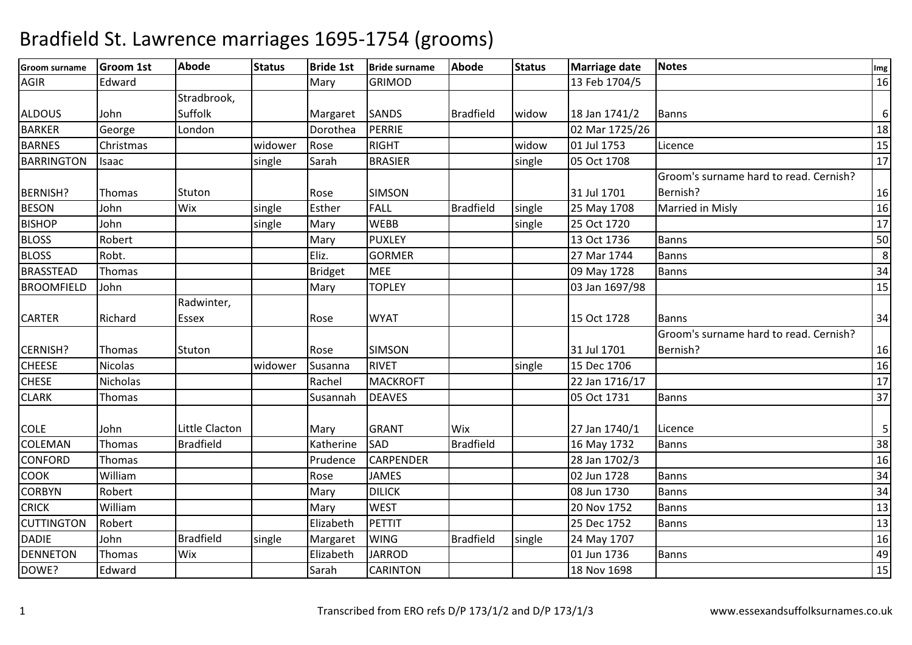| <b>Groom surname</b> | <b>Groom 1st</b> | <b>Abode</b>     | <b>Status</b> | <b>Bride 1st</b> | <b>Bride surname</b> | <b>Abode</b>     | <b>Status</b> | Marriage date  | <b>Notes</b>                           | Img |
|----------------------|------------------|------------------|---------------|------------------|----------------------|------------------|---------------|----------------|----------------------------------------|-----|
| <b>AGIR</b>          | Edward           |                  |               | Mary             | <b>GRIMOD</b>        |                  |               | 13 Feb 1704/5  |                                        | 16  |
|                      |                  | Stradbrook,      |               |                  |                      |                  |               |                |                                        |     |
| <b>ALDOUS</b>        | John             | Suffolk          |               | Margaret         | <b>SANDS</b>         | <b>Bradfield</b> | widow         | 18 Jan 1741/2  | <b>Banns</b>                           | 6   |
| <b>BARKER</b>        | George           | London           |               | Dorothea         | PERRIE               |                  |               | 02 Mar 1725/26 |                                        | 18  |
| <b>BARNES</b>        | Christmas        |                  | widower       | Rose             | <b>RIGHT</b>         |                  | widow         | 01 Jul 1753    | Licence                                | 15  |
| <b>BARRINGTON</b>    | Isaac            |                  | single        | Sarah            | <b>BRASIER</b>       |                  | single        | 05 Oct 1708    |                                        | 17  |
|                      |                  |                  |               |                  |                      |                  |               |                | Groom's surname hard to read. Cernish? |     |
| <b>BERNISH?</b>      | Thomas           | Stuton           |               | Rose             | <b>SIMSON</b>        |                  |               | 31 Jul 1701    | Bernish?                               | 16  |
| <b>BESON</b>         | John             | Wix              | single        | Esther           | <b>FALL</b>          | <b>Bradfield</b> | single        | 25 May 1708    | Married in Misly                       | 16  |
| <b>BISHOP</b>        | John             |                  | single        | Mary             | <b>WEBB</b>          |                  | single        | 25 Oct 1720    |                                        | 17  |
| <b>BLOSS</b>         | Robert           |                  |               | Mary             | <b>PUXLEY</b>        |                  |               | 13 Oct 1736    | <b>Banns</b>                           | 50  |
| <b>BLOSS</b>         | Robt.            |                  |               | Eliz.            | <b>GORMER</b>        |                  |               | 27 Mar 1744    | <b>Banns</b>                           | 8   |
| <b>BRASSTEAD</b>     | Thomas           |                  |               | <b>Bridget</b>   | <b>MEE</b>           |                  |               | 09 May 1728    | Banns                                  | 34  |
| <b>BROOMFIELD</b>    | John             |                  |               | Mary             | <b>TOPLEY</b>        |                  |               | 03 Jan 1697/98 |                                        | 15  |
|                      |                  | Radwinter,       |               |                  |                      |                  |               |                |                                        |     |
| <b>CARTER</b>        | Richard          | <b>Essex</b>     |               | Rose             | <b>WYAT</b>          |                  |               | 15 Oct 1728    | <b>Banns</b>                           | 34  |
|                      |                  |                  |               |                  |                      |                  |               |                | Groom's surname hard to read. Cernish? |     |
| CERNISH?             | <b>Thomas</b>    | Stuton           |               | Rose             | <b>SIMSON</b>        |                  |               | 31 Jul 1701    | Bernish?                               | 16  |
| <b>CHEESE</b>        | <b>Nicolas</b>   |                  | widower       | Susanna          | <b>RIVET</b>         |                  | single        | 15 Dec 1706    |                                        | 16  |
| <b>CHESE</b>         | Nicholas         |                  |               | Rachel           | <b>MACKROFT</b>      |                  |               | 22 Jan 1716/17 |                                        | 17  |
| <b>CLARK</b>         | Thomas           |                  |               | Susannah         | <b>DEAVES</b>        |                  |               | 05 Oct 1731    | <b>Banns</b>                           | 37  |
|                      |                  |                  |               |                  |                      |                  |               |                |                                        |     |
| <b>COLE</b>          | John             | Little Clacton   |               | Mary             | <b>GRANT</b>         | Wix              |               | 27 Jan 1740/1  | Licence                                | 5   |
| COLEMAN              | Thomas           | <b>Bradfield</b> |               | Katherine        | SAD                  | <b>Bradfield</b> |               | 16 May 1732    | <b>Banns</b>                           | 38  |
| <b>CONFORD</b>       | Thomas           |                  |               | Prudence         | <b>CARPENDER</b>     |                  |               | 28 Jan 1702/3  |                                        | 16  |
| <b>COOK</b>          | William          |                  |               | Rose             | <b>JAMES</b>         |                  |               | 02 Jun 1728    | <b>Banns</b>                           | 34  |
| <b>CORBYN</b>        | Robert           |                  |               | Mary             | <b>DILICK</b>        |                  |               | 08 Jun 1730    | <b>Banns</b>                           | 34  |
| <b>CRICK</b>         | William          |                  |               | Mary             | <b>WEST</b>          |                  |               | 20 Nov 1752    | <b>Banns</b>                           | 13  |
| <b>CUTTINGTON</b>    | Robert           |                  |               | Elizabeth        | PETTIT               |                  |               | 25 Dec 1752    | <b>Banns</b>                           | 13  |
| <b>DADIE</b>         | John             | <b>Bradfield</b> | single        | Margaret         | <b>WING</b>          | <b>Bradfield</b> | single        | 24 May 1707    |                                        | 16  |
| <b>DENNETON</b>      | Thomas           | Wix              |               | Elizabeth        | <b>JARROD</b>        |                  |               | 01 Jun 1736    | <b>Banns</b>                           | 49  |
| DOWE?                | Edward           |                  |               | Sarah            | <b>CARINTON</b>      |                  |               | 18 Nov 1698    |                                        | 15  |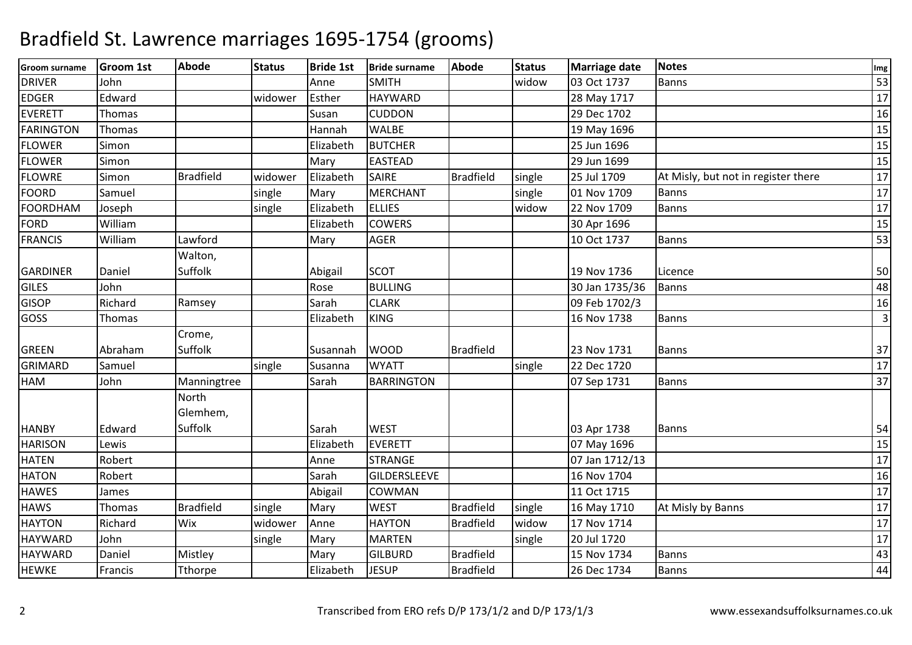| 53<br>widow<br>John<br><b>SMITH</b><br>03 Oct 1737<br><b>Banns</b><br>Anne<br>$\overline{17}$<br><b>HAYWARD</b><br>Edward<br>28 May 1717<br>widower<br>Esther<br><b>CUDDON</b><br>16<br>Thomas<br>Susan<br>29 Dec 1702<br>15<br><b>WALBE</b><br>19 May 1696<br>Thomas<br>Hannah<br>15<br><b>BUTCHER</b><br>Simon<br>25 Jun 1696<br>Elizabeth<br>$\overline{15}$<br><b>EASTEAD</b><br>29 Jun 1699<br>Simon<br>Mary<br>17<br><b>Bradfield</b><br>Elizabeth<br><b>SAIRE</b><br><b>Bradfield</b><br>25 Jul 1709<br>Simon<br>widower<br>single<br>At Misly, but not in register there<br>$\overline{17}$<br><b>MERCHANT</b><br>01 Nov 1709<br><b>Banns</b><br>Samuel<br>single<br>Mary<br>single<br>17<br>Joseph<br>single<br>Elizabeth<br><b>ELLIES</b><br>widow<br>22 Nov 1709<br><b>Banns</b><br>15<br><b>COWERS</b><br>William<br>Elizabeth<br>30 Apr 1696<br>Lawford<br>53<br>William<br><b>AGER</b><br><b>Banns</b><br>Mary<br>10 Oct 1737<br>Walton,<br>Suffolk<br><b>SCOT</b><br>50<br>Daniel<br>Abigail<br>19 Nov 1736<br>Licence<br>John<br>48<br>Rose<br><b>BULLING</b><br>30 Jan 1735/36<br><b>Banns</b><br><b>GISOP</b><br>Richard<br><b>CLARK</b><br>09 Feb 1702/3<br>16<br>Ramsey<br>Sarah<br><b>KING</b><br>$\overline{3}$<br>16 Nov 1738<br>Thomas<br>Elizabeth<br><b>Banns</b><br>Crome,<br>Abraham<br>Suffolk<br><b>WOOD</b><br><b>Bradfield</b><br>23 Nov 1731<br>37<br>Susannah<br><b>Banns</b><br>17<br>22 Dec 1720<br>Samuel<br><b>WYATT</b><br>single<br>Susanna<br>single<br>37<br>John<br><b>BARRINGTON</b><br>Manningtree<br>Sarah<br>07 Sep 1731<br>Banns<br>North<br>Glemhem,<br>Suffolk<br>Edward<br><b>WEST</b><br>03 Apr 1738<br>Sarah<br><b>Banns</b><br>54<br>15<br>Elizabeth<br><b>EVERETT</b><br>07 May 1696<br>Lewis<br>17<br>Robert<br><b>STRANGE</b><br>07 Jan 1712/13<br>Anne<br>Robert<br>Sarah<br><b>GILDERSLEEVE</b><br>16 Nov 1704<br>16<br>17<br>COWMAN<br>11 Oct 1715<br>Abigail<br>James<br>17<br><b>Bradfield</b><br><b>WEST</b><br><b>Bradfield</b><br><b>HAWS</b><br><b>Thomas</b><br>single<br>Mary<br>single<br>16 May 1710<br>At Misly by Banns<br>17<br>Richard<br>Wix<br>widower<br><b>HAYTON</b><br><b>Bradfield</b><br>17 Nov 1714<br>Anne<br>widow<br>17<br><b>MARTEN</b><br>20 Jul 1720<br>John<br>single<br>Mary<br>single<br><b>Bradfield</b><br>43<br><b>GILBURD</b><br>Mistley<br>15 Nov 1734<br>Banns<br>Daniel<br>Mary<br>44<br><b>JESUP</b><br><b>Bradfield</b><br><b>Banns</b><br>Tthorpe<br>Elizabeth<br>26 Dec 1734<br>Francis | <b>Groom surname</b> | <b>Groom 1st</b> | <b>Abode</b> | <b>Status</b> | <b>Bride 1st</b> | <b>Bride surname</b> | <b>Abode</b> | <b>Status</b> | Marriage date | <b>Notes</b> | Img |
|------------------------------------------------------------------------------------------------------------------------------------------------------------------------------------------------------------------------------------------------------------------------------------------------------------------------------------------------------------------------------------------------------------------------------------------------------------------------------------------------------------------------------------------------------------------------------------------------------------------------------------------------------------------------------------------------------------------------------------------------------------------------------------------------------------------------------------------------------------------------------------------------------------------------------------------------------------------------------------------------------------------------------------------------------------------------------------------------------------------------------------------------------------------------------------------------------------------------------------------------------------------------------------------------------------------------------------------------------------------------------------------------------------------------------------------------------------------------------------------------------------------------------------------------------------------------------------------------------------------------------------------------------------------------------------------------------------------------------------------------------------------------------------------------------------------------------------------------------------------------------------------------------------------------------------------------------------------------------------------------------------------------------------------------------------------------------------------------------------------------------------------------------------------------------------------------------------------------------------------------------------------------------------------------------------------------------------------------------------------------------------------------------------------------------------------------------------------------------------------------|----------------------|------------------|--------------|---------------|------------------|----------------------|--------------|---------------|---------------|--------------|-----|
|                                                                                                                                                                                                                                                                                                                                                                                                                                                                                                                                                                                                                                                                                                                                                                                                                                                                                                                                                                                                                                                                                                                                                                                                                                                                                                                                                                                                                                                                                                                                                                                                                                                                                                                                                                                                                                                                                                                                                                                                                                                                                                                                                                                                                                                                                                                                                                                                                                                                                                | <b>DRIVER</b>        |                  |              |               |                  |                      |              |               |               |              |     |
|                                                                                                                                                                                                                                                                                                                                                                                                                                                                                                                                                                                                                                                                                                                                                                                                                                                                                                                                                                                                                                                                                                                                                                                                                                                                                                                                                                                                                                                                                                                                                                                                                                                                                                                                                                                                                                                                                                                                                                                                                                                                                                                                                                                                                                                                                                                                                                                                                                                                                                | <b>EDGER</b>         |                  |              |               |                  |                      |              |               |               |              |     |
|                                                                                                                                                                                                                                                                                                                                                                                                                                                                                                                                                                                                                                                                                                                                                                                                                                                                                                                                                                                                                                                                                                                                                                                                                                                                                                                                                                                                                                                                                                                                                                                                                                                                                                                                                                                                                                                                                                                                                                                                                                                                                                                                                                                                                                                                                                                                                                                                                                                                                                | <b>EVERETT</b>       |                  |              |               |                  |                      |              |               |               |              |     |
|                                                                                                                                                                                                                                                                                                                                                                                                                                                                                                                                                                                                                                                                                                                                                                                                                                                                                                                                                                                                                                                                                                                                                                                                                                                                                                                                                                                                                                                                                                                                                                                                                                                                                                                                                                                                                                                                                                                                                                                                                                                                                                                                                                                                                                                                                                                                                                                                                                                                                                | <b>FARINGTON</b>     |                  |              |               |                  |                      |              |               |               |              |     |
|                                                                                                                                                                                                                                                                                                                                                                                                                                                                                                                                                                                                                                                                                                                                                                                                                                                                                                                                                                                                                                                                                                                                                                                                                                                                                                                                                                                                                                                                                                                                                                                                                                                                                                                                                                                                                                                                                                                                                                                                                                                                                                                                                                                                                                                                                                                                                                                                                                                                                                | <b>FLOWER</b>        |                  |              |               |                  |                      |              |               |               |              |     |
|                                                                                                                                                                                                                                                                                                                                                                                                                                                                                                                                                                                                                                                                                                                                                                                                                                                                                                                                                                                                                                                                                                                                                                                                                                                                                                                                                                                                                                                                                                                                                                                                                                                                                                                                                                                                                                                                                                                                                                                                                                                                                                                                                                                                                                                                                                                                                                                                                                                                                                | <b>FLOWER</b>        |                  |              |               |                  |                      |              |               |               |              |     |
|                                                                                                                                                                                                                                                                                                                                                                                                                                                                                                                                                                                                                                                                                                                                                                                                                                                                                                                                                                                                                                                                                                                                                                                                                                                                                                                                                                                                                                                                                                                                                                                                                                                                                                                                                                                                                                                                                                                                                                                                                                                                                                                                                                                                                                                                                                                                                                                                                                                                                                | <b>FLOWRE</b>        |                  |              |               |                  |                      |              |               |               |              |     |
|                                                                                                                                                                                                                                                                                                                                                                                                                                                                                                                                                                                                                                                                                                                                                                                                                                                                                                                                                                                                                                                                                                                                                                                                                                                                                                                                                                                                                                                                                                                                                                                                                                                                                                                                                                                                                                                                                                                                                                                                                                                                                                                                                                                                                                                                                                                                                                                                                                                                                                | <b>FOORD</b>         |                  |              |               |                  |                      |              |               |               |              |     |
|                                                                                                                                                                                                                                                                                                                                                                                                                                                                                                                                                                                                                                                                                                                                                                                                                                                                                                                                                                                                                                                                                                                                                                                                                                                                                                                                                                                                                                                                                                                                                                                                                                                                                                                                                                                                                                                                                                                                                                                                                                                                                                                                                                                                                                                                                                                                                                                                                                                                                                | FOORDHAM             |                  |              |               |                  |                      |              |               |               |              |     |
|                                                                                                                                                                                                                                                                                                                                                                                                                                                                                                                                                                                                                                                                                                                                                                                                                                                                                                                                                                                                                                                                                                                                                                                                                                                                                                                                                                                                                                                                                                                                                                                                                                                                                                                                                                                                                                                                                                                                                                                                                                                                                                                                                                                                                                                                                                                                                                                                                                                                                                | <b>FORD</b>          |                  |              |               |                  |                      |              |               |               |              |     |
|                                                                                                                                                                                                                                                                                                                                                                                                                                                                                                                                                                                                                                                                                                                                                                                                                                                                                                                                                                                                                                                                                                                                                                                                                                                                                                                                                                                                                                                                                                                                                                                                                                                                                                                                                                                                                                                                                                                                                                                                                                                                                                                                                                                                                                                                                                                                                                                                                                                                                                | <b>FRANCIS</b>       |                  |              |               |                  |                      |              |               |               |              |     |
|                                                                                                                                                                                                                                                                                                                                                                                                                                                                                                                                                                                                                                                                                                                                                                                                                                                                                                                                                                                                                                                                                                                                                                                                                                                                                                                                                                                                                                                                                                                                                                                                                                                                                                                                                                                                                                                                                                                                                                                                                                                                                                                                                                                                                                                                                                                                                                                                                                                                                                |                      |                  |              |               |                  |                      |              |               |               |              |     |
|                                                                                                                                                                                                                                                                                                                                                                                                                                                                                                                                                                                                                                                                                                                                                                                                                                                                                                                                                                                                                                                                                                                                                                                                                                                                                                                                                                                                                                                                                                                                                                                                                                                                                                                                                                                                                                                                                                                                                                                                                                                                                                                                                                                                                                                                                                                                                                                                                                                                                                | <b>GARDINER</b>      |                  |              |               |                  |                      |              |               |               |              |     |
|                                                                                                                                                                                                                                                                                                                                                                                                                                                                                                                                                                                                                                                                                                                                                                                                                                                                                                                                                                                                                                                                                                                                                                                                                                                                                                                                                                                                                                                                                                                                                                                                                                                                                                                                                                                                                                                                                                                                                                                                                                                                                                                                                                                                                                                                                                                                                                                                                                                                                                | <b>GILES</b>         |                  |              |               |                  |                      |              |               |               |              |     |
|                                                                                                                                                                                                                                                                                                                                                                                                                                                                                                                                                                                                                                                                                                                                                                                                                                                                                                                                                                                                                                                                                                                                                                                                                                                                                                                                                                                                                                                                                                                                                                                                                                                                                                                                                                                                                                                                                                                                                                                                                                                                                                                                                                                                                                                                                                                                                                                                                                                                                                |                      |                  |              |               |                  |                      |              |               |               |              |     |
|                                                                                                                                                                                                                                                                                                                                                                                                                                                                                                                                                                                                                                                                                                                                                                                                                                                                                                                                                                                                                                                                                                                                                                                                                                                                                                                                                                                                                                                                                                                                                                                                                                                                                                                                                                                                                                                                                                                                                                                                                                                                                                                                                                                                                                                                                                                                                                                                                                                                                                | GOSS                 |                  |              |               |                  |                      |              |               |               |              |     |
|                                                                                                                                                                                                                                                                                                                                                                                                                                                                                                                                                                                                                                                                                                                                                                                                                                                                                                                                                                                                                                                                                                                                                                                                                                                                                                                                                                                                                                                                                                                                                                                                                                                                                                                                                                                                                                                                                                                                                                                                                                                                                                                                                                                                                                                                                                                                                                                                                                                                                                |                      |                  |              |               |                  |                      |              |               |               |              |     |
|                                                                                                                                                                                                                                                                                                                                                                                                                                                                                                                                                                                                                                                                                                                                                                                                                                                                                                                                                                                                                                                                                                                                                                                                                                                                                                                                                                                                                                                                                                                                                                                                                                                                                                                                                                                                                                                                                                                                                                                                                                                                                                                                                                                                                                                                                                                                                                                                                                                                                                | <b>GREEN</b>         |                  |              |               |                  |                      |              |               |               |              |     |
|                                                                                                                                                                                                                                                                                                                                                                                                                                                                                                                                                                                                                                                                                                                                                                                                                                                                                                                                                                                                                                                                                                                                                                                                                                                                                                                                                                                                                                                                                                                                                                                                                                                                                                                                                                                                                                                                                                                                                                                                                                                                                                                                                                                                                                                                                                                                                                                                                                                                                                | GRIMARD              |                  |              |               |                  |                      |              |               |               |              |     |
|                                                                                                                                                                                                                                                                                                                                                                                                                                                                                                                                                                                                                                                                                                                                                                                                                                                                                                                                                                                                                                                                                                                                                                                                                                                                                                                                                                                                                                                                                                                                                                                                                                                                                                                                                                                                                                                                                                                                                                                                                                                                                                                                                                                                                                                                                                                                                                                                                                                                                                | HAM                  |                  |              |               |                  |                      |              |               |               |              |     |
|                                                                                                                                                                                                                                                                                                                                                                                                                                                                                                                                                                                                                                                                                                                                                                                                                                                                                                                                                                                                                                                                                                                                                                                                                                                                                                                                                                                                                                                                                                                                                                                                                                                                                                                                                                                                                                                                                                                                                                                                                                                                                                                                                                                                                                                                                                                                                                                                                                                                                                |                      |                  |              |               |                  |                      |              |               |               |              |     |
|                                                                                                                                                                                                                                                                                                                                                                                                                                                                                                                                                                                                                                                                                                                                                                                                                                                                                                                                                                                                                                                                                                                                                                                                                                                                                                                                                                                                                                                                                                                                                                                                                                                                                                                                                                                                                                                                                                                                                                                                                                                                                                                                                                                                                                                                                                                                                                                                                                                                                                |                      |                  |              |               |                  |                      |              |               |               |              |     |
|                                                                                                                                                                                                                                                                                                                                                                                                                                                                                                                                                                                                                                                                                                                                                                                                                                                                                                                                                                                                                                                                                                                                                                                                                                                                                                                                                                                                                                                                                                                                                                                                                                                                                                                                                                                                                                                                                                                                                                                                                                                                                                                                                                                                                                                                                                                                                                                                                                                                                                | <b>HANBY</b>         |                  |              |               |                  |                      |              |               |               |              |     |
|                                                                                                                                                                                                                                                                                                                                                                                                                                                                                                                                                                                                                                                                                                                                                                                                                                                                                                                                                                                                                                                                                                                                                                                                                                                                                                                                                                                                                                                                                                                                                                                                                                                                                                                                                                                                                                                                                                                                                                                                                                                                                                                                                                                                                                                                                                                                                                                                                                                                                                | <b>HARISON</b>       |                  |              |               |                  |                      |              |               |               |              |     |
|                                                                                                                                                                                                                                                                                                                                                                                                                                                                                                                                                                                                                                                                                                                                                                                                                                                                                                                                                                                                                                                                                                                                                                                                                                                                                                                                                                                                                                                                                                                                                                                                                                                                                                                                                                                                                                                                                                                                                                                                                                                                                                                                                                                                                                                                                                                                                                                                                                                                                                | <b>HATEN</b>         |                  |              |               |                  |                      |              |               |               |              |     |
|                                                                                                                                                                                                                                                                                                                                                                                                                                                                                                                                                                                                                                                                                                                                                                                                                                                                                                                                                                                                                                                                                                                                                                                                                                                                                                                                                                                                                                                                                                                                                                                                                                                                                                                                                                                                                                                                                                                                                                                                                                                                                                                                                                                                                                                                                                                                                                                                                                                                                                | <b>HATON</b>         |                  |              |               |                  |                      |              |               |               |              |     |
|                                                                                                                                                                                                                                                                                                                                                                                                                                                                                                                                                                                                                                                                                                                                                                                                                                                                                                                                                                                                                                                                                                                                                                                                                                                                                                                                                                                                                                                                                                                                                                                                                                                                                                                                                                                                                                                                                                                                                                                                                                                                                                                                                                                                                                                                                                                                                                                                                                                                                                | <b>HAWES</b>         |                  |              |               |                  |                      |              |               |               |              |     |
|                                                                                                                                                                                                                                                                                                                                                                                                                                                                                                                                                                                                                                                                                                                                                                                                                                                                                                                                                                                                                                                                                                                                                                                                                                                                                                                                                                                                                                                                                                                                                                                                                                                                                                                                                                                                                                                                                                                                                                                                                                                                                                                                                                                                                                                                                                                                                                                                                                                                                                |                      |                  |              |               |                  |                      |              |               |               |              |     |
|                                                                                                                                                                                                                                                                                                                                                                                                                                                                                                                                                                                                                                                                                                                                                                                                                                                                                                                                                                                                                                                                                                                                                                                                                                                                                                                                                                                                                                                                                                                                                                                                                                                                                                                                                                                                                                                                                                                                                                                                                                                                                                                                                                                                                                                                                                                                                                                                                                                                                                | <b>HAYTON</b>        |                  |              |               |                  |                      |              |               |               |              |     |
|                                                                                                                                                                                                                                                                                                                                                                                                                                                                                                                                                                                                                                                                                                                                                                                                                                                                                                                                                                                                                                                                                                                                                                                                                                                                                                                                                                                                                                                                                                                                                                                                                                                                                                                                                                                                                                                                                                                                                                                                                                                                                                                                                                                                                                                                                                                                                                                                                                                                                                | <b>HAYWARD</b>       |                  |              |               |                  |                      |              |               |               |              |     |
|                                                                                                                                                                                                                                                                                                                                                                                                                                                                                                                                                                                                                                                                                                                                                                                                                                                                                                                                                                                                                                                                                                                                                                                                                                                                                                                                                                                                                                                                                                                                                                                                                                                                                                                                                                                                                                                                                                                                                                                                                                                                                                                                                                                                                                                                                                                                                                                                                                                                                                | <b>HAYWARD</b>       |                  |              |               |                  |                      |              |               |               |              |     |
|                                                                                                                                                                                                                                                                                                                                                                                                                                                                                                                                                                                                                                                                                                                                                                                                                                                                                                                                                                                                                                                                                                                                                                                                                                                                                                                                                                                                                                                                                                                                                                                                                                                                                                                                                                                                                                                                                                                                                                                                                                                                                                                                                                                                                                                                                                                                                                                                                                                                                                | <b>HEWKE</b>         |                  |              |               |                  |                      |              |               |               |              |     |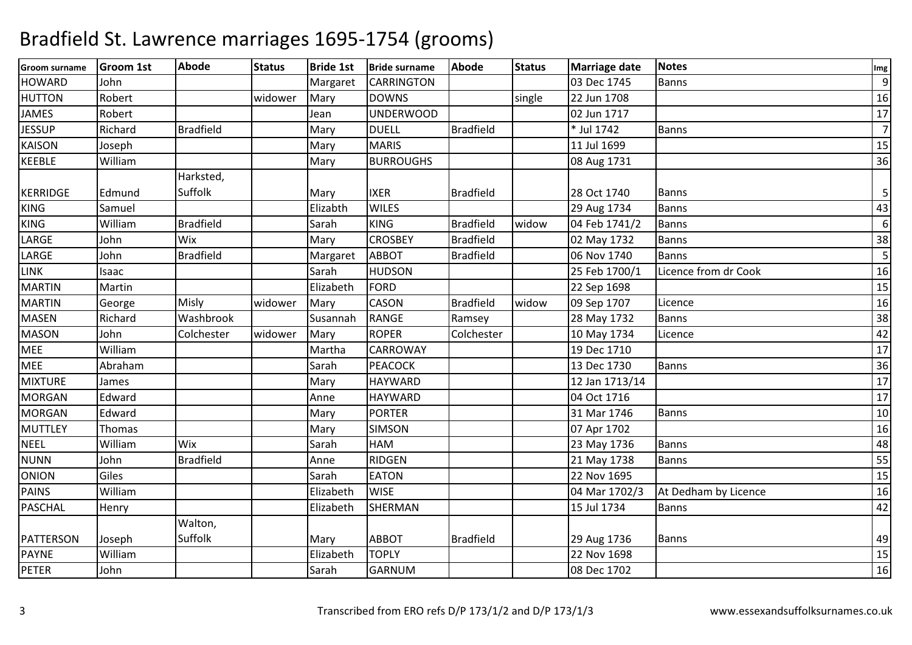| <b>Groom surname</b> | <b>Groom 1st</b> | <b>Abode</b>     | <b>Status</b> | <b>Bride 1st</b> | <b>Bride surname</b> | <b>Abode</b>     | <b>Status</b> | <b>Marriage date</b> | <b>Notes</b>         | Img              |
|----------------------|------------------|------------------|---------------|------------------|----------------------|------------------|---------------|----------------------|----------------------|------------------|
| <b>HOWARD</b>        | John             |                  |               | Margaret         | <b>CARRINGTON</b>    |                  |               | 03 Dec 1745          | Banns                | $\overline{9}$   |
| <b>HUTTON</b>        | Robert           |                  | widower       | Mary             | <b>DOWNS</b>         |                  | single        | 22 Jun 1708          |                      | 16               |
| <b>JAMES</b>         | Robert           |                  |               | Jean             | <b>UNDERWOOD</b>     |                  |               | 02 Jun 1717          |                      | 17               |
| <b>JESSUP</b>        | Richard          | <b>Bradfield</b> |               | Mary             | <b>DUELL</b>         | Bradfield        |               | * Jul 1742           | <b>Banns</b>         | $\overline{7}$   |
| <b>KAISON</b>        | Joseph           |                  |               | Mary             | <b>MARIS</b>         |                  |               | 11 Jul 1699          |                      | 15               |
| KEEBLE               | William          |                  |               | Mary             | <b>BURROUGHS</b>     |                  |               | 08 Aug 1731          |                      | 36               |
|                      |                  | Harksted,        |               |                  |                      |                  |               |                      |                      |                  |
| <b>KERRIDGE</b>      | Edmund           | Suffolk          |               | Mary             | <b>IXER</b>          | <b>Bradfield</b> |               | 28 Oct 1740          | <b>Banns</b>         | 5                |
| <b>KING</b>          | Samuel           |                  |               | Elizabth         | <b>WILES</b>         |                  |               | 29 Aug 1734          | <b>Banns</b>         | 43               |
| <b>KING</b>          | William          | <b>Bradfield</b> |               | Sarah            | <b>KING</b>          | <b>Bradfield</b> | widow         | 04 Feb 1741/2        | <b>Banns</b>         | $\boldsymbol{6}$ |
| LARGE                | John             | Wix              |               | Mary             | <b>CROSBEY</b>       | <b>Bradfield</b> |               | 02 May 1732          | <b>Banns</b>         | 38               |
| LARGE                | John             | <b>Bradfield</b> |               | Margaret         | <b>ABBOT</b>         | <b>Bradfield</b> |               | 06 Nov 1740          | <b>Banns</b>         | 5                |
| LINK                 | Isaac            |                  |               | Sarah            | <b>HUDSON</b>        |                  |               | 25 Feb 1700/1        | Licence from dr Cook | 16               |
| <b>MARTIN</b>        | Martin           |                  |               | Elizabeth        | <b>FORD</b>          |                  |               | 22 Sep 1698          |                      | 15               |
| <b>MARTIN</b>        | George           | Misly            | widower       | Mary             | <b>CASON</b>         | <b>Bradfield</b> | widow         | 09 Sep 1707          | Licence              | 16               |
| <b>MASEN</b>         | Richard          | Washbrook        |               | Susannah         | <b>RANGE</b>         | Ramsey           |               | 28 May 1732          | Banns                | 38               |
| <b>MASON</b>         | John             | Colchester       | widower       | Mary             | <b>ROPER</b>         | Colchester       |               | 10 May 1734          | Licence              | 42               |
| <b>MEE</b>           | William          |                  |               | Martha           | CARROWAY             |                  |               | 19 Dec 1710          |                      | 17               |
| <b>MEE</b>           | Abraham          |                  |               | Sarah            | <b>PEACOCK</b>       |                  |               | 13 Dec 1730          | <b>Banns</b>         | 36               |
| <b>MIXTURE</b>       | James            |                  |               | Mary             | <b>HAYWARD</b>       |                  |               | 12 Jan 1713/14       |                      | 17               |
| <b>MORGAN</b>        | Edward           |                  |               | Anne             | <b>HAYWARD</b>       |                  |               | 04 Oct 1716          |                      | 17               |
| <b>MORGAN</b>        | Edward           |                  |               | Mary             | <b>PORTER</b>        |                  |               | 31 Mar 1746          | Banns                | $10\,$           |
| <b>MUTTLEY</b>       | Thomas           |                  |               | Mary             | SIMSON               |                  |               | 07 Apr 1702          |                      | 16               |
| NEEL                 | William          | Wix              |               | Sarah            | <b>HAM</b>           |                  |               | 23 May 1736          | <b>Banns</b>         | 48               |
| <b>NUNN</b>          | John             | <b>Bradfield</b> |               | Anne             | <b>RIDGEN</b>        |                  |               | 21 May 1738          | <b>Banns</b>         | 55               |
| <b>ONION</b>         | Giles            |                  |               | Sarah            | <b>EATON</b>         |                  |               | 22 Nov 1695          |                      | 15               |
| <b>PAINS</b>         | William          |                  |               | Elizabeth        | <b>WISE</b>          |                  |               | 04 Mar 1702/3        | At Dedham by Licence | 16               |
| PASCHAL              | Henry            |                  |               | Elizabeth        | SHERMAN              |                  |               | 15 Jul 1734          | Banns                | 42               |
|                      |                  | Walton,          |               |                  |                      |                  |               |                      |                      |                  |
| PATTERSON            | Joseph           | Suffolk          |               | Mary             | <b>ABBOT</b>         | <b>Bradfield</b> |               | 29 Aug 1736          | <b>Banns</b>         | 49               |
| <b>PAYNE</b>         | William          |                  |               | Elizabeth        | <b>TOPLY</b>         |                  |               | 22 Nov 1698          |                      | 15               |
| PETER                | John             |                  |               | Sarah            | <b>GARNUM</b>        |                  |               | 08 Dec 1702          |                      | 16               |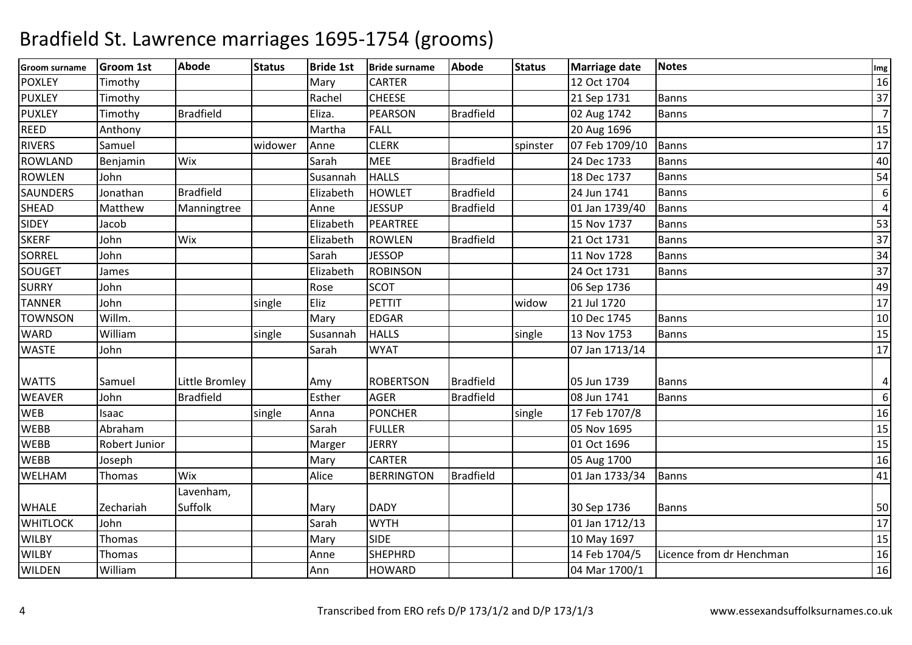| <b>Groom surname</b> | <b>Groom 1st</b> | <b>Abode</b>     | <b>Status</b> | <b>Bride 1st</b> | <b>Bride surname</b> | <b>Abode</b>     | <b>Status</b> | <b>Marriage date</b> | <b>Notes</b>             | Img            |
|----------------------|------------------|------------------|---------------|------------------|----------------------|------------------|---------------|----------------------|--------------------------|----------------|
| <b>POXLEY</b>        | Timothy          |                  |               | Mary             | <b>CARTER</b>        |                  |               | 12 Oct 1704          |                          | 16             |
| <b>PUXLEY</b>        | Timothy          |                  |               | Rachel           | <b>CHEESE</b>        |                  |               | 21 Sep 1731          | <b>Banns</b>             | 37             |
| <b>PUXLEY</b>        | Timothy          | <b>Bradfield</b> |               | Eliza.           | <b>PEARSON</b>       | <b>Bradfield</b> |               | 02 Aug 1742          | <b>Banns</b>             | $\overline{7}$ |
| <b>REED</b>          | Anthony          |                  |               | Martha           | <b>FALL</b>          |                  |               | 20 Aug 1696          |                          | 15             |
| <b>RIVERS</b>        | Samuel           |                  | widower       | Anne             | <b>CLERK</b>         |                  | spinster      | 07 Feb 1709/10       | <b>Banns</b>             | 17             |
| <b>ROWLAND</b>       | Benjamin         | Wix              |               | Sarah            | <b>MEE</b>           | <b>Bradfield</b> |               | 24 Dec 1733          | <b>Banns</b>             | 40             |
| <b>ROWLEN</b>        | John             |                  |               | Susannah         | <b>HALLS</b>         |                  |               | 18 Dec 1737          | <b>Banns</b>             | 54             |
| <b>SAUNDERS</b>      | Jonathan         | <b>Bradfield</b> |               | Elizabeth        | <b>HOWLET</b>        | <b>Bradfield</b> |               | 24 Jun 1741          | <b>Banns</b>             | 6              |
| <b>SHEAD</b>         | Matthew          | Manningtree      |               | Anne             | <b>JESSUP</b>        | <b>Bradfield</b> |               | 01 Jan 1739/40       | <b>Banns</b>             | $\overline{4}$ |
| <b>SIDEY</b>         | Jacob            |                  |               | Elizabeth        | PEARTREE             |                  |               | 15 Nov 1737          | Banns                    | 53             |
| <b>SKERF</b>         | John             | Wix              |               | Elizabeth        | <b>ROWLEN</b>        | <b>Bradfield</b> |               | 21 Oct 1731          | <b>Banns</b>             | 37             |
| <b>SORREL</b>        | John             |                  |               | Sarah            | <b>JESSOP</b>        |                  |               | 11 Nov 1728          | <b>Banns</b>             | 34             |
| SOUGET               | James            |                  |               | Elizabeth        | <b>ROBINSON</b>      |                  |               | 24 Oct 1731          | <b>Banns</b>             | 37             |
| <b>SURRY</b>         | John             |                  |               | Rose             | SCOT                 |                  |               | 06 Sep 1736          |                          | 49             |
| <b>TANNER</b>        | John             |                  | single        | Eliz             | <b>PETTIT</b>        |                  | widow         | 21 Jul 1720          |                          | 17             |
| <b>TOWNSON</b>       | Willm.           |                  |               | Mary             | <b>EDGAR</b>         |                  |               | 10 Dec 1745          | <b>Banns</b>             | 10             |
| <b>WARD</b>          | William          |                  | single        | Susannah         | <b>HALLS</b>         |                  | single        | 13 Nov 1753          | <b>Banns</b>             | 15             |
| <b>WASTE</b>         | John             |                  |               | Sarah            | <b>WYAT</b>          |                  |               | 07 Jan 1713/14       |                          | 17             |
| <b>WATTS</b>         | Samuel           | Little Bromley   |               | Amy              | <b>ROBERTSON</b>     | <b>Bradfield</b> |               | 05 Jun 1739          | <b>Banns</b>             | 4              |
| <b>WEAVER</b>        | John             | <b>Bradfield</b> |               | Esther           | <b>AGER</b>          | <b>Bradfield</b> |               | 08 Jun 1741          | <b>Banns</b>             | 6              |
| <b>WEB</b>           | Isaac            |                  | single        | Anna             | <b>PONCHER</b>       |                  | single        | 17 Feb 1707/8        |                          | 16             |
| <b>WEBB</b>          | Abraham          |                  |               | Sarah            | <b>FULLER</b>        |                  |               | 05 Nov 1695          |                          | 15             |
| <b>WEBB</b>          | Robert Junior    |                  |               | Marger           | <b>JERRY</b>         |                  |               | 01 Oct 1696          |                          | 15             |
| <b>WEBB</b>          | Joseph           |                  |               | Mary             | <b>CARTER</b>        |                  |               | 05 Aug 1700          |                          | 16             |
| <b>WELHAM</b>        | Thomas           | Wix              |               | Alice            | <b>BERRINGTON</b>    | <b>Bradfield</b> |               | 01 Jan 1733/34       | <b>Banns</b>             | 41             |
|                      |                  | Lavenham,        |               |                  |                      |                  |               |                      |                          |                |
| <b>WHALE</b>         | Zechariah        | Suffolk          |               | Mary             | <b>DADY</b>          |                  |               | 30 Sep 1736          | <b>Banns</b>             | 50             |
| <b>WHITLOCK</b>      | John             |                  |               | Sarah            | <b>WYTH</b>          |                  |               | 01 Jan 1712/13       |                          | 17             |
| <b>WILBY</b>         | Thomas           |                  |               | Mary             | <b>SIDE</b>          |                  |               | 10 May 1697          |                          | 15             |
| <b>WILBY</b>         | Thomas           |                  |               | Anne             | <b>SHEPHRD</b>       |                  |               | 14 Feb 1704/5        | Licence from dr Henchman | 16             |
| <b>WILDEN</b>        | William          |                  |               | Ann              | <b>HOWARD</b>        |                  |               | 04 Mar 1700/1        |                          | 16             |